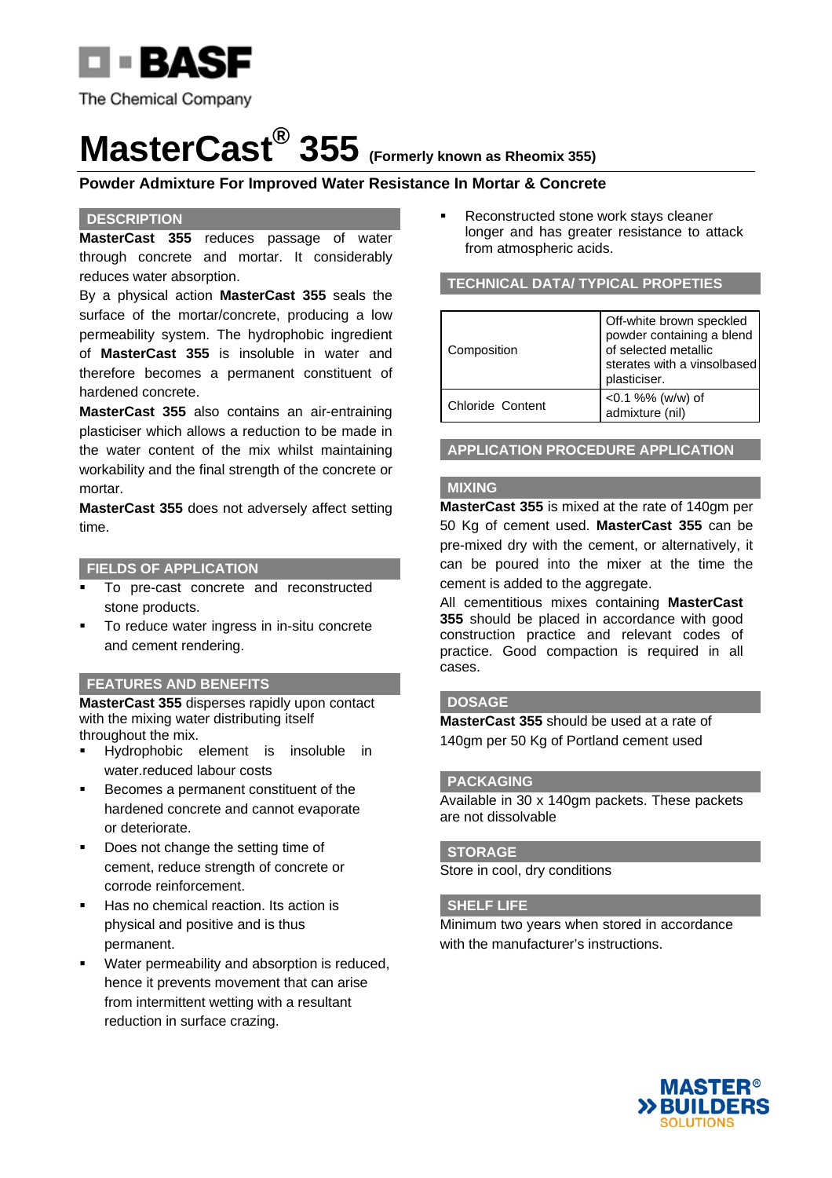

The Chemical Company

# **MasterCast® 355 (Formerly known as Rheomix 355)**

### **Powder Admixture For Improved Water Resistance In Mortar & Concrete**

#### **DESCRIPTION**

**MasterCast 355** reduces passage of water through concrete and mortar. It considerably reduces water absorption.

By a physical action **MasterCast 355** seals the surface of the mortar/concrete, producing a low permeability system. The hydrophobic ingredient of **MasterCast 355** is insoluble in water and therefore becomes a permanent constituent of hardened concrete.

**MasterCast 355** also contains an air-entraining plasticiser which allows a reduction to be made in the water content of the mix whilst maintaining workability and the final strength of the concrete or mortar.

**MasterCast 355** does not adversely affect setting time.

#### **FIELDS OF APPLICATION**

- To pre-cast concrete and reconstructed stone products.
- To reduce water ingress in in-situ concrete and cement rendering.

#### **FEATURES AND BENEFITS**

**MasterCast 355** disperses rapidly upon contact with the mixing water distributing itself throughout the mix.

- Hydrophobic element is insoluble in water.reduced labour costs
- Becomes a permanent constituent of the hardened concrete and cannot evaporate or deteriorate.
- Does not change the setting time of cement, reduce strength of concrete or corrode reinforcement.
- Has no chemical reaction. Its action is physical and positive and is thus permanent.
- Water permeability and absorption is reduced, hence it prevents movement that can arise from intermittent wetting with a resultant reduction in surface crazing.

 Reconstructed stone work stays cleaner longer and has greater resistance to attack from atmospheric acids.

#### **TECHNICAL DATA/ TYPICAL PROPETIES**

| Composition      | Off-white brown speckled<br>powder containing a blend<br>of selected metallic<br>sterates with a vinsolbased<br>plasticiser. |
|------------------|------------------------------------------------------------------------------------------------------------------------------|
| Chloride Content | <0.1 %% (w/w) of<br>admixture (nil)                                                                                          |

**APPLICATION PROCEDURE APPLICATION**

#### **MIXING**

**MasterCast 355** is mixed at the rate of 140gm per 50 Kg of cement used. **MasterCast 355** can be pre-mixed dry with the cement, or alternatively, it can be poured into the mixer at the time the cement is added to the aggregate.

All cementitious mixes containing **MasterCast 355** should be placed in accordance with good construction practice and relevant codes of practice. Good compaction is required in all cases.

#### **DOSAGE**

**MasterCast 355** should be used at a rate of 140gm per 50 Kg of Portland cement used

#### **PACKAGING**

Available in 30 x 140gm packets. These packets are not dissolvable

#### **STORAGE**

Store in cool, dry conditions

#### **SHELF LIFE**

Minimum two years when stored in accordance with the manufacturer's instructions.